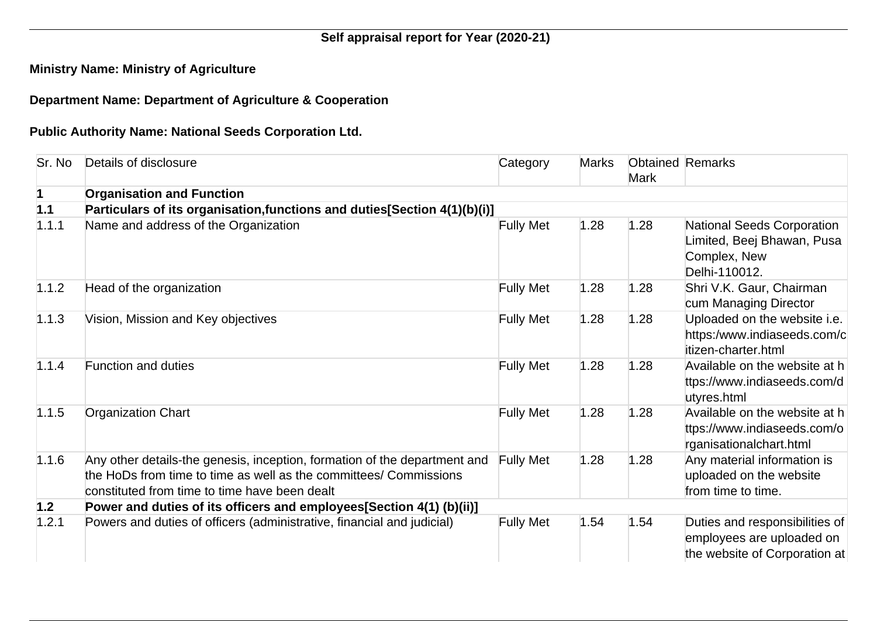## **Self appraisal report for Year (2020-21)**

## **Ministry Name: Ministry of Agriculture**

## **Department Name: Department of Agriculture & Cooperation**

## **Public Authority Name: National Seeds Corporation Ltd.**

| Sr. No | Details of disclosure                                                                                                                                                                           | Category         | <b>Marks</b> | <b>Mark</b> | <b>Obtained Remarks</b>                                                                          |
|--------|-------------------------------------------------------------------------------------------------------------------------------------------------------------------------------------------------|------------------|--------------|-------------|--------------------------------------------------------------------------------------------------|
|        | <b>Organisation and Function</b>                                                                                                                                                                |                  |              |             |                                                                                                  |
| 1.1    | Particulars of its organisation, functions and duties [Section 4(1)(b)(i)]                                                                                                                      |                  |              |             |                                                                                                  |
| 1.1.1  | Name and address of the Organization                                                                                                                                                            | <b>Fully Met</b> | 1.28         | 1.28        | <b>National Seeds Corporation</b><br>Limited, Beej Bhawan, Pusa<br>Complex, New<br>Delhi-110012. |
| 1.1.2  | Head of the organization                                                                                                                                                                        | <b>Fully Met</b> | 1.28         | 1.28        | Shri V.K. Gaur, Chairman<br>cum Managing Director                                                |
| 1.1.3  | Vision, Mission and Key objectives                                                                                                                                                              | <b>Fully Met</b> | 1.28         | 1.28        | Uploaded on the website i.e.<br>https:/www.indiaseeds.com/c<br>itizen-charter.html               |
| 1.1.4  | <b>Function and duties</b>                                                                                                                                                                      | <b>Fully Met</b> | 1.28         | 1.28        | Available on the website at h<br>ttps://www.indiaseeds.com/d<br>utyres.html                      |
| 1.1.5  | <b>Organization Chart</b>                                                                                                                                                                       | <b>Fully Met</b> | 1.28         | 1.28        | Available on the website at h<br>ttps://www.indiaseeds.com/o<br>rganisationalchart.html          |
| 1.1.6  | Any other details-the genesis, inception, formation of the department and<br>the HoDs from time to time as well as the committees/ Commissions<br>constituted from time to time have been dealt | <b>Fully Met</b> | 1.28         | 1.28        | Any material information is<br>uploaded on the website<br>from time to time.                     |
| 1.2    | Power and duties of its officers and employees [Section 4(1) (b) (ii)]                                                                                                                          |                  |              |             |                                                                                                  |
| 1.2.1  | Powers and duties of officers (administrative, financial and judicial)                                                                                                                          | <b>Fully Met</b> | 1.54         | 1.54        | Duties and responsibilities of<br>employees are uploaded on<br>the website of Corporation at     |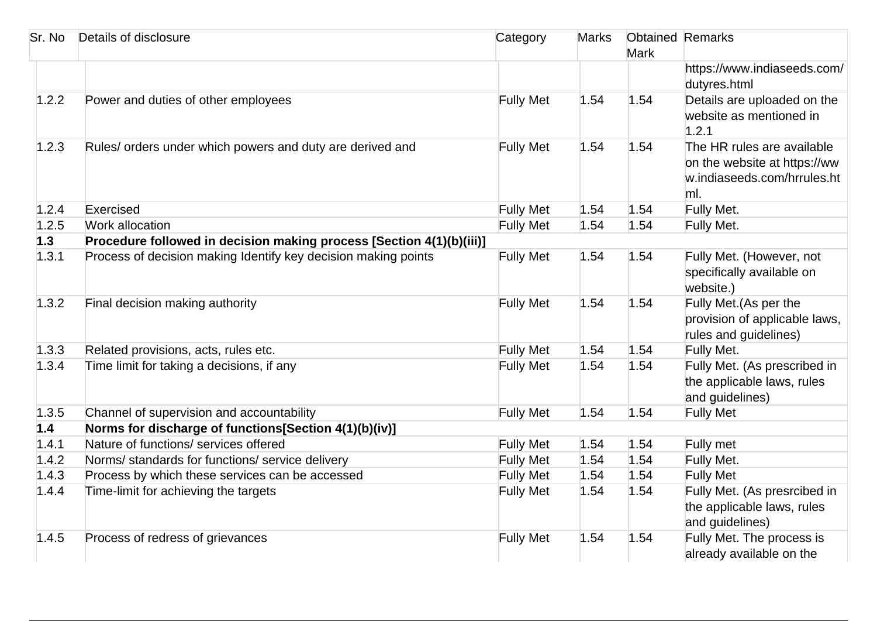| Sr. No | Details of disclosure                                                | Category         | <b>Marks</b> | <b>Obtained Remarks</b><br><b>Mark</b> |                                                                                                  |
|--------|----------------------------------------------------------------------|------------------|--------------|----------------------------------------|--------------------------------------------------------------------------------------------------|
|        |                                                                      |                  |              |                                        | https://www.indiaseeds.com/<br>dutyres.html                                                      |
| 1.2.2  | Power and duties of other employees                                  | <b>Fully Met</b> | 1.54         | 1.54                                   | Details are uploaded on the<br>website as mentioned in<br>1.2.1                                  |
| 1.2.3  | Rules/ orders under which powers and duty are derived and            | <b>Fully Met</b> | 1.54         | 1.54                                   | The HR rules are available<br>on the website at https://ww<br>w.indiaseeds.com/hrrules.ht<br>ml. |
| 1.2.4  | Exercised                                                            | <b>Fully Met</b> | 1.54         | 1.54                                   | Fully Met.                                                                                       |
| 1.2.5  | Work allocation                                                      | <b>Fully Met</b> | 1.54         | 1.54                                   | Fully Met.                                                                                       |
| 1.3    | Procedure followed in decision making process [Section 4(1)(b)(iii)] |                  |              |                                        |                                                                                                  |
| 1.3.1  | Process of decision making Identify key decision making points       | <b>Fully Met</b> | 1.54         | 1.54                                   | Fully Met. (However, not<br>specifically available on<br>website.)                               |
| 1.3.2  | Final decision making authority                                      | <b>Fully Met</b> | 1.54         | 1.54                                   | Fully Met. (As per the<br>provision of applicable laws,<br>rules and guidelines)                 |
| 1.3.3  | Related provisions, acts, rules etc.                                 | <b>Fully Met</b> | 1.54         | 1.54                                   | Fully Met.                                                                                       |
| 1.3.4  | Time limit for taking a decisions, if any                            | <b>Fully Met</b> | 1.54         | 1.54                                   | Fully Met. (As prescribed in<br>the applicable laws, rules<br>and guidelines)                    |
| 1.3.5  | Channel of supervision and accountability                            | <b>Fully Met</b> | 1.54         | 1.54                                   | <b>Fully Met</b>                                                                                 |
| 1.4    | Norms for discharge of functions[Section 4(1)(b)(iv)]                |                  |              |                                        |                                                                                                  |
| 1.4.1  | Nature of functions/ services offered                                | <b>Fully Met</b> | 1.54         | 1.54                                   | Fully met                                                                                        |
| 1.4.2  | Norms/ standards for functions/ service delivery                     | <b>Fully Met</b> | 1.54         | 1.54                                   | Fully Met.                                                                                       |
| 1.4.3  | Process by which these services can be accessed                      | <b>Fully Met</b> | 1.54         | 1.54                                   | <b>Fully Met</b>                                                                                 |
| 1.4.4  | Time-limit for achieving the targets                                 | <b>Fully Met</b> | 1.54         | 1.54                                   | Fully Met. (As presrcibed in<br>the applicable laws, rules<br>and guidelines)                    |
| 1.4.5  | Process of redress of grievances                                     | <b>Fully Met</b> | 1.54         | 1.54                                   | Fully Met. The process is<br>already available on the                                            |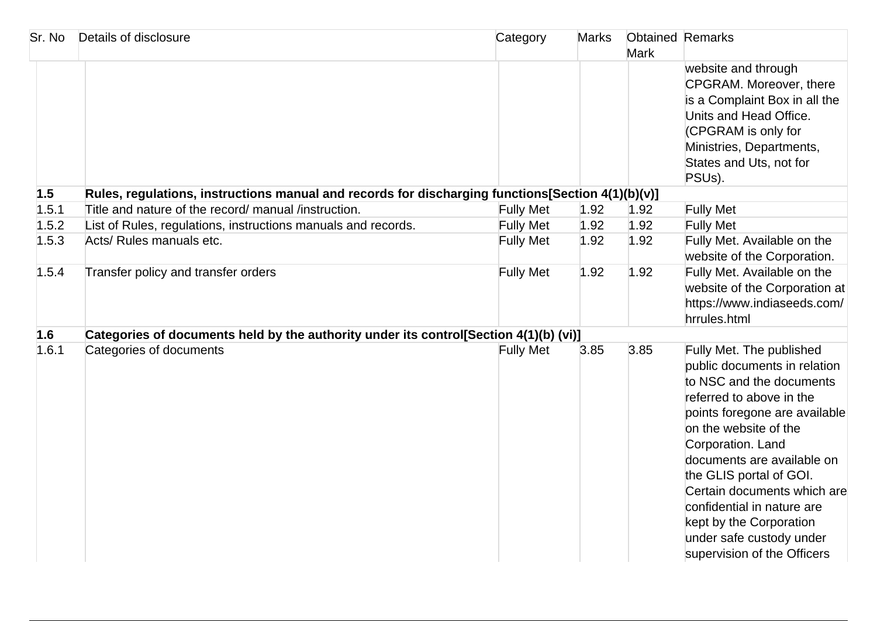| Sr. No | Details of disclosure                                                                             | Category         | <b>Marks</b> | <b>Mark</b> | <b>Obtained Remarks</b>                                                                                                                                                                                                                                                                                                                                                                                     |
|--------|---------------------------------------------------------------------------------------------------|------------------|--------------|-------------|-------------------------------------------------------------------------------------------------------------------------------------------------------------------------------------------------------------------------------------------------------------------------------------------------------------------------------------------------------------------------------------------------------------|
|        |                                                                                                   |                  |              |             | website and through<br>CPGRAM. Moreover, there<br>is a Complaint Box in all the<br>Units and Head Office.<br>(CPGRAM is only for<br>Ministries, Departments,<br>States and Uts, not for<br>PSUs).                                                                                                                                                                                                           |
| 1.5    | Rules, regulations, instructions manual and records for discharging functions[Section 4(1)(b)(v)] |                  |              |             |                                                                                                                                                                                                                                                                                                                                                                                                             |
| 1.5.1  | Title and nature of the record/ manual /instruction.                                              | <b>Fully Met</b> | 1.92         | 1.92        | <b>Fully Met</b>                                                                                                                                                                                                                                                                                                                                                                                            |
| 1.5.2  | List of Rules, regulations, instructions manuals and records.                                     | <b>Fully Met</b> | 1.92         | 1.92        | <b>Fully Met</b>                                                                                                                                                                                                                                                                                                                                                                                            |
| 1.5.3  | Acts/ Rules manuals etc.                                                                          | <b>Fully Met</b> | 1.92         | 1.92        | Fully Met. Available on the<br>website of the Corporation.                                                                                                                                                                                                                                                                                                                                                  |
| 1.5.4  | Transfer policy and transfer orders                                                               | <b>Fully Met</b> | 1.92         | 1.92        | Fully Met. Available on the<br>website of the Corporation at<br>https://www.indiaseeds.com/<br>hrrules.html                                                                                                                                                                                                                                                                                                 |
| 1.6    | Categories of documents held by the authority under its control[Section 4(1)(b) (vi)]             |                  |              |             |                                                                                                                                                                                                                                                                                                                                                                                                             |
| 1.6.1  | Categories of documents                                                                           | <b>Fully Met</b> | 3.85         | 3.85        | Fully Met. The published<br>public documents in relation<br>to NSC and the documents<br>referred to above in the<br>points foregone are available<br>on the website of the<br>Corporation. Land<br>documents are available on<br>the GLIS portal of GOI.<br>Certain documents which are<br>confidential in nature are<br>kept by the Corporation<br>under safe custody under<br>supervision of the Officers |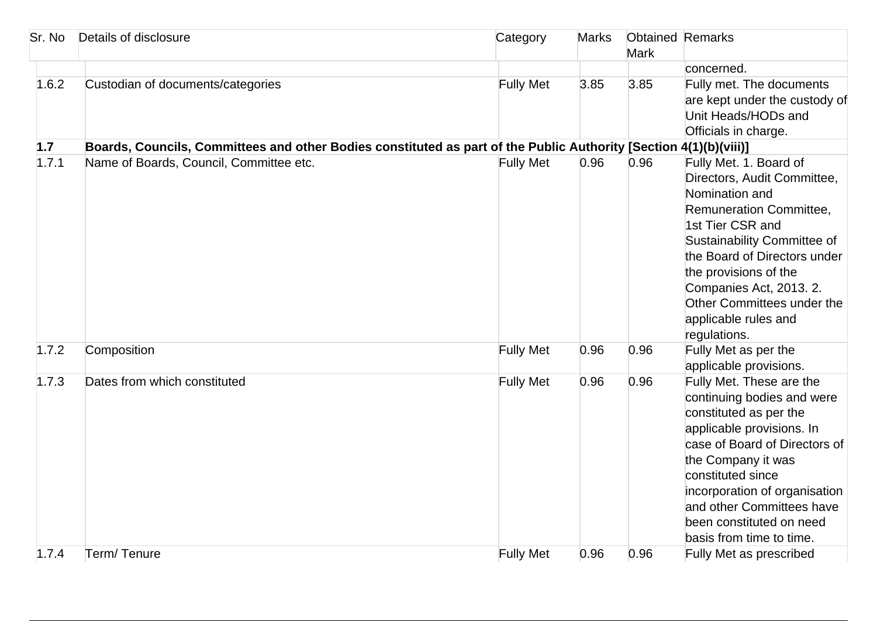| Sr. No | Details of disclosure                                                                                             | Category         | <b>Marks</b> | <b>Obtained Remarks</b><br><b>Mark</b> |                                                                                                                                                                                                                                                                                                                 |
|--------|-------------------------------------------------------------------------------------------------------------------|------------------|--------------|----------------------------------------|-----------------------------------------------------------------------------------------------------------------------------------------------------------------------------------------------------------------------------------------------------------------------------------------------------------------|
|        |                                                                                                                   |                  |              |                                        | concerned.                                                                                                                                                                                                                                                                                                      |
| 1.6.2  | Custodian of documents/categories                                                                                 | <b>Fully Met</b> | 3.85         | 3.85                                   | Fully met. The documents<br>are kept under the custody of<br>Unit Heads/HODs and<br>Officials in charge.                                                                                                                                                                                                        |
| 1.7    | Boards, Councils, Committees and other Bodies constituted as part of the Public Authority [Section 4(1)(b)(viii)] |                  |              |                                        |                                                                                                                                                                                                                                                                                                                 |
| 1.7.1  | Name of Boards, Council, Committee etc.                                                                           | <b>Fully Met</b> | 0.96         | 0.96                                   | Fully Met. 1. Board of<br>Directors, Audit Committee,<br>Nomination and<br>Remuneration Committee,<br>1st Tier CSR and<br>Sustainability Committee of<br>the Board of Directors under<br>the provisions of the<br>Companies Act, 2013. 2.<br>Other Committees under the<br>applicable rules and<br>regulations. |
| 1.7.2  | Composition                                                                                                       | <b>Fully Met</b> | 0.96         | 0.96                                   | Fully Met as per the<br>applicable provisions.                                                                                                                                                                                                                                                                  |
| 1.7.3  | Dates from which constituted                                                                                      | <b>Fully Met</b> | 0.96         | 0.96                                   | Fully Met. These are the<br>continuing bodies and were<br>constituted as per the<br>applicable provisions. In<br>case of Board of Directors of<br>the Company it was<br>constituted since<br>incorporation of organisation<br>and other Committees have<br>been constituted on need<br>basis from time to time. |
| 1.7.4  | Term/Tenure                                                                                                       | <b>Fully Met</b> | 0.96         | 0.96                                   | Fully Met as prescribed                                                                                                                                                                                                                                                                                         |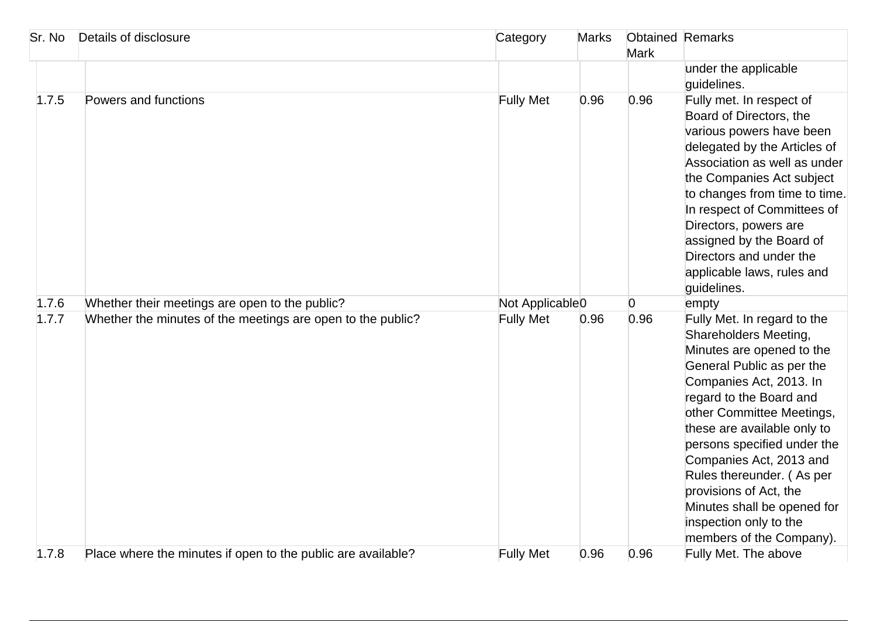| Sr. No | Details of disclosure                                        | Category                    | <b>Marks</b> | <b>Obtained Remarks</b><br><b>Mark</b> |                                                                                                                                                                                                                                                                                                                                                                                                                                        |
|--------|--------------------------------------------------------------|-----------------------------|--------------|----------------------------------------|----------------------------------------------------------------------------------------------------------------------------------------------------------------------------------------------------------------------------------------------------------------------------------------------------------------------------------------------------------------------------------------------------------------------------------------|
|        |                                                              |                             |              |                                        | under the applicable<br>guidelines.                                                                                                                                                                                                                                                                                                                                                                                                    |
| 1.7.5  | Powers and functions                                         | <b>Fully Met</b>            | 0.96         | 0.96                                   | Fully met. In respect of<br>Board of Directors, the<br>various powers have been<br>delegated by the Articles of<br>Association as well as under<br>the Companies Act subject<br>to changes from time to time.<br>In respect of Committees of<br>Directors, powers are<br>assigned by the Board of<br>Directors and under the<br>applicable laws, rules and<br>guidelines.                                                              |
| 1.7.6  | Whether their meetings are open to the public?               | Not Applicable <sub>0</sub> |              | $\overline{0}$                         | empty                                                                                                                                                                                                                                                                                                                                                                                                                                  |
| 1.7.7  | Whether the minutes of the meetings are open to the public?  | <b>Fully Met</b>            | 0.96         | 0.96                                   | Fully Met. In regard to the<br>Shareholders Meeting,<br>Minutes are opened to the<br>General Public as per the<br>Companies Act, 2013. In<br>regard to the Board and<br>other Committee Meetings,<br>these are available only to<br>persons specified under the<br>Companies Act, 2013 and<br>Rules thereunder. (As per<br>provisions of Act, the<br>Minutes shall be opened for<br>inspection only to the<br>members of the Company). |
| 1.7.8  | Place where the minutes if open to the public are available? | <b>Fully Met</b>            | 0.96         | 0.96                                   | Fully Met. The above                                                                                                                                                                                                                                                                                                                                                                                                                   |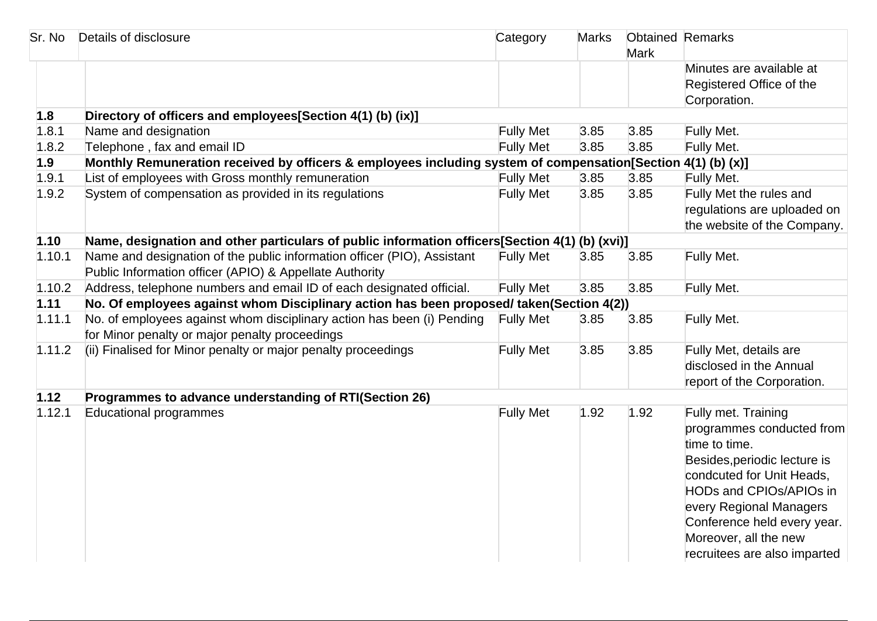| Sr. No | Details of disclosure                                                                                                              | Category         | <b>Marks</b> | <b>Obtained Remarks</b><br><b>Mark</b> |                                                                                                                                                                                                                                                                              |
|--------|------------------------------------------------------------------------------------------------------------------------------------|------------------|--------------|----------------------------------------|------------------------------------------------------------------------------------------------------------------------------------------------------------------------------------------------------------------------------------------------------------------------------|
|        |                                                                                                                                    |                  |              |                                        | Minutes are available at                                                                                                                                                                                                                                                     |
|        |                                                                                                                                    |                  |              |                                        | Registered Office of the                                                                                                                                                                                                                                                     |
|        |                                                                                                                                    |                  |              |                                        | Corporation.                                                                                                                                                                                                                                                                 |
| 1.8    | Directory of officers and employees[Section 4(1) (b) (ix)]                                                                         |                  |              |                                        |                                                                                                                                                                                                                                                                              |
| 1.8.1  | Name and designation                                                                                                               | <b>Fully Met</b> | 3.85         | 3.85                                   | Fully Met.                                                                                                                                                                                                                                                                   |
| 1.8.2  | Telephone, fax and email ID                                                                                                        | <b>Fully Met</b> | 3.85         | 3.85                                   | Fully Met.                                                                                                                                                                                                                                                                   |
| 1.9    | Monthly Remuneration received by officers & employees including system of compensation[Section 4(1) (b) (x)]                       |                  |              |                                        |                                                                                                                                                                                                                                                                              |
| 1.9.1  | List of employees with Gross monthly remuneration                                                                                  | <b>Fully Met</b> | 3.85         | 3.85                                   | Fully Met.                                                                                                                                                                                                                                                                   |
| 1.9.2  | System of compensation as provided in its regulations                                                                              | <b>Fully Met</b> | 3.85         | 3.85                                   | Fully Met the rules and                                                                                                                                                                                                                                                      |
|        |                                                                                                                                    |                  |              |                                        | regulations are uploaded on                                                                                                                                                                                                                                                  |
|        |                                                                                                                                    |                  |              |                                        | the website of the Company.                                                                                                                                                                                                                                                  |
| 1.10   | Name, designation and other particulars of public information officers[Section 4(1) (b) (xvi)]                                     |                  |              |                                        |                                                                                                                                                                                                                                                                              |
| 1.10.1 | Name and designation of the public information officer (PIO), Assistant<br>Public Information officer (APIO) & Appellate Authority | <b>Fully Met</b> | 3.85         | 3.85                                   | Fully Met.                                                                                                                                                                                                                                                                   |
| 1.10.2 | Address, telephone numbers and email ID of each designated official.                                                               | <b>Fully Met</b> | 3.85         | 3.85                                   | Fully Met.                                                                                                                                                                                                                                                                   |
| 1.11   | No. Of employees against whom Disciplinary action has been proposed/ taken(Section 4(2))                                           |                  |              |                                        |                                                                                                                                                                                                                                                                              |
| 1.11.1 | No. of employees against whom disciplinary action has been (i) Pending                                                             | <b>Fully Met</b> | 3.85         | 3.85                                   | Fully Met.                                                                                                                                                                                                                                                                   |
|        | for Minor penalty or major penalty proceedings                                                                                     |                  |              |                                        |                                                                                                                                                                                                                                                                              |
| 1.11.2 | (ii) Finalised for Minor penalty or major penalty proceedings                                                                      | <b>Fully Met</b> | 3.85         | 3.85                                   | Fully Met, details are                                                                                                                                                                                                                                                       |
|        |                                                                                                                                    |                  |              |                                        | disclosed in the Annual                                                                                                                                                                                                                                                      |
|        |                                                                                                                                    |                  |              |                                        | report of the Corporation.                                                                                                                                                                                                                                                   |
| 1.12   | Programmes to advance understanding of RTI(Section 26)                                                                             |                  |              |                                        |                                                                                                                                                                                                                                                                              |
| 1.12.1 | Educational programmes                                                                                                             | <b>Fully Met</b> | 1.92         | 1.92                                   | Fully met. Training<br>programmes conducted from<br>time to time.<br>Besides, periodic lecture is<br>condcuted for Unit Heads,<br>HODs and CPIOs/APIOs in<br>every Regional Managers<br>Conference held every year.<br>Moreover, all the new<br>recruitees are also imparted |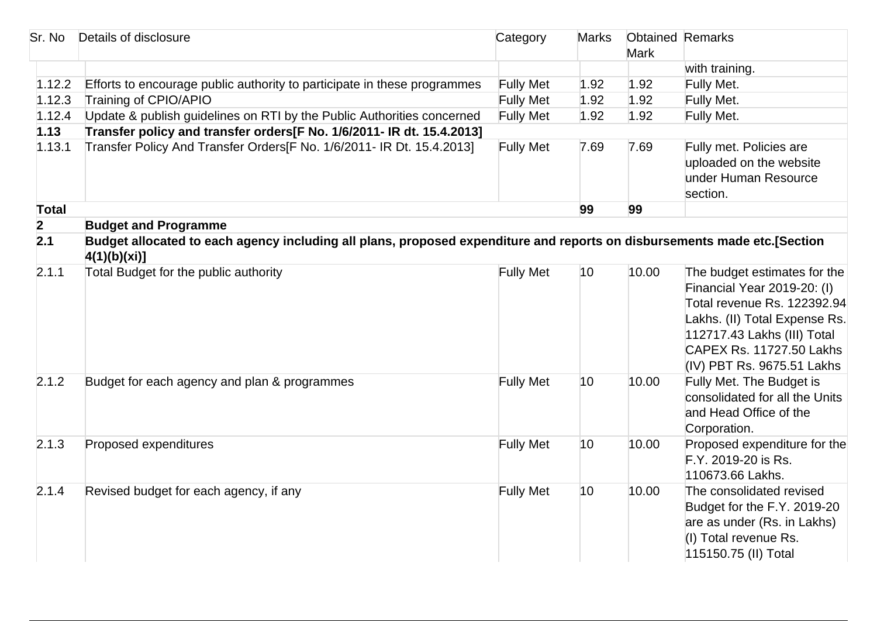| Sr. No         | Details of disclosure                                                                                                                    | Category         | <b>Marks</b> | <b>Obtained Remarks</b><br><b>Mark</b> |                                                                                                                                                                                                                      |
|----------------|------------------------------------------------------------------------------------------------------------------------------------------|------------------|--------------|----------------------------------------|----------------------------------------------------------------------------------------------------------------------------------------------------------------------------------------------------------------------|
|                |                                                                                                                                          |                  |              |                                        | with training.                                                                                                                                                                                                       |
| 1.12.2         | Efforts to encourage public authority to participate in these programmes                                                                 | <b>Fully Met</b> | 1.92         | 1.92                                   | Fully Met.                                                                                                                                                                                                           |
| 1.12.3         | Training of CPIO/APIO                                                                                                                    | <b>Fully Met</b> | 1.92         | 1.92                                   | Fully Met.                                                                                                                                                                                                           |
| 1.12.4         | Update & publish guidelines on RTI by the Public Authorities concerned                                                                   | <b>Fully Met</b> | 1.92         | 1.92                                   | Fully Met.                                                                                                                                                                                                           |
| 1.13           | Transfer policy and transfer orders[F No. 1/6/2011- IR dt. 15.4.2013]                                                                    |                  |              |                                        |                                                                                                                                                                                                                      |
| 1.13.1         | Transfer Policy And Transfer Orders [F No. 1/6/2011- IR Dt. 15.4.2013]                                                                   | <b>Fully Met</b> | 7.69         | 7.69                                   | Fully met. Policies are<br>uploaded on the website<br>under Human Resource<br>section.                                                                                                                               |
| <b>Total</b>   |                                                                                                                                          |                  | 99           | 99                                     |                                                                                                                                                                                                                      |
| $\overline{2}$ | <b>Budget and Programme</b>                                                                                                              |                  |              |                                        |                                                                                                                                                                                                                      |
| 2.1            | Budget allocated to each agency including all plans, proposed expenditure and reports on disbursements made etc.[Section<br>4(1)(b)(xi)] |                  |              |                                        |                                                                                                                                                                                                                      |
| 2.1.1          | Total Budget for the public authority                                                                                                    | <b>Fully Met</b> | 10           | 10.00                                  | The budget estimates for the<br>Financial Year 2019-20: (I)<br>Total revenue Rs. 122392.94<br>Lakhs. (II) Total Expense Rs.<br>112717.43 Lakhs (III) Total<br>CAPEX Rs. 11727.50 Lakhs<br>(IV) PBT Rs. 9675.51 Lakhs |
| 2.1.2          | Budget for each agency and plan & programmes                                                                                             | <b>Fully Met</b> | 10           | 10.00                                  | Fully Met. The Budget is<br>consolidated for all the Units<br>and Head Office of the<br>Corporation.                                                                                                                 |
| 2.1.3          | Proposed expenditures                                                                                                                    | <b>Fully Met</b> | 10           | 10.00                                  | Proposed expenditure for the<br>F.Y. 2019-20 is Rs.<br>110673.66 Lakhs.                                                                                                                                              |
| 2.1.4          | Revised budget for each agency, if any                                                                                                   | <b>Fully Met</b> | 10           | 10.00                                  | The consolidated revised<br>Budget for the F.Y. 2019-20<br>are as under (Rs. in Lakhs)<br>(I) Total revenue Rs.<br>115150.75 (II) Total                                                                              |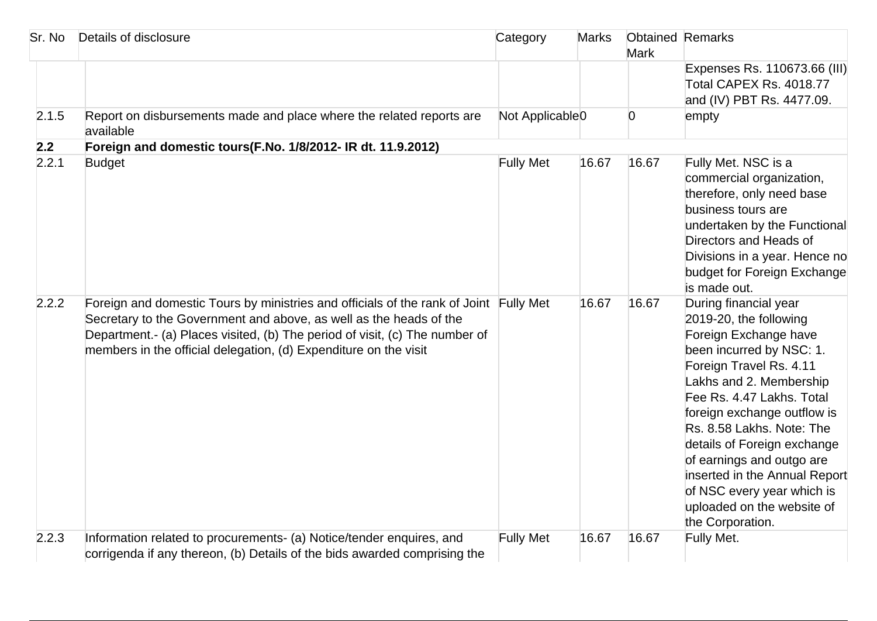| Sr. No | Details of disclosure                                                                                                                                                                                                                                                                                          | Category                    | <b>Marks</b> | <b>Mark</b>    | <b>Obtained Remarks</b>                                                                                                                                                                                                                                                                                                                                                                                                          |
|--------|----------------------------------------------------------------------------------------------------------------------------------------------------------------------------------------------------------------------------------------------------------------------------------------------------------------|-----------------------------|--------------|----------------|----------------------------------------------------------------------------------------------------------------------------------------------------------------------------------------------------------------------------------------------------------------------------------------------------------------------------------------------------------------------------------------------------------------------------------|
|        |                                                                                                                                                                                                                                                                                                                |                             |              |                | Expenses Rs. 110673.66 (III)<br>Total CAPEX Rs. 4018.77<br>and (IV) PBT Rs. 4477.09.                                                                                                                                                                                                                                                                                                                                             |
| 2.1.5  | Report on disbursements made and place where the related reports are<br>available                                                                                                                                                                                                                              | Not Applicable <sub>0</sub> |              | $\overline{0}$ | empty                                                                                                                                                                                                                                                                                                                                                                                                                            |
| 2.2    | Foreign and domestic tours(F.No. 1/8/2012- IR dt. 11.9.2012)                                                                                                                                                                                                                                                   |                             |              |                |                                                                                                                                                                                                                                                                                                                                                                                                                                  |
| 2.2.1  | <b>Budget</b>                                                                                                                                                                                                                                                                                                  | <b>Fully Met</b>            | 16.67        | 16.67          | Fully Met. NSC is a<br>commercial organization,<br>therefore, only need base<br>business tours are<br>undertaken by the Functional<br>Directors and Heads of<br>Divisions in a year. Hence no<br>budget for Foreign Exchange<br>is made out.                                                                                                                                                                                     |
| 2.2.2  | Foreign and domestic Tours by ministries and officials of the rank of Joint Fully Met<br>Secretary to the Government and above, as well as the heads of the<br>Department.- (a) Places visited, (b) The period of visit, (c) The number of<br>members in the official delegation, (d) Expenditure on the visit |                             | 16.67        | 16.67          | During financial year<br>2019-20, the following<br>Foreign Exchange have<br>been incurred by NSC: 1.<br>Foreign Travel Rs. 4.11<br>Lakhs and 2. Membership<br>Fee Rs. 4.47 Lakhs. Total<br>foreign exchange outflow is<br>Rs. 8.58 Lakhs. Note: The<br>details of Foreign exchange<br>of earnings and outgo are<br>inserted in the Annual Report<br>of NSC every year which is<br>uploaded on the website of<br>the Corporation. |
| 2.2.3  | Information related to procurements- (a) Notice/tender enquires, and                                                                                                                                                                                                                                           | <b>Fully Met</b>            | 16.67        | 16.67          | Fully Met.                                                                                                                                                                                                                                                                                                                                                                                                                       |
|        | corrigenda if any thereon, (b) Details of the bids awarded comprising the                                                                                                                                                                                                                                      |                             |              |                |                                                                                                                                                                                                                                                                                                                                                                                                                                  |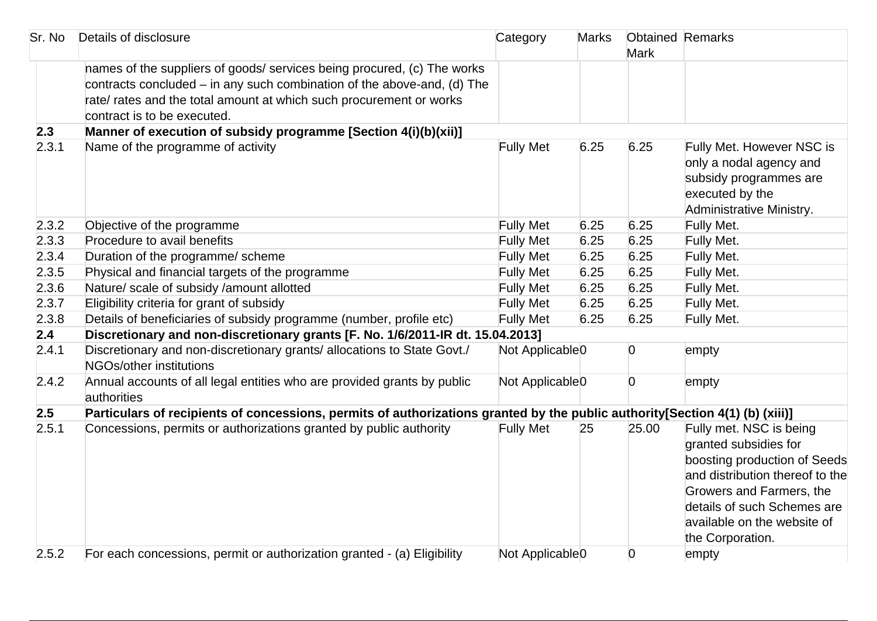| Sr. No | Details of disclosure                                                                                                                                                                                                                                      | Category                    | <b>Marks</b> | <b>Obtained Remarks</b><br><b>Mark</b> |                                                                                                                                                                                                                                   |
|--------|------------------------------------------------------------------------------------------------------------------------------------------------------------------------------------------------------------------------------------------------------------|-----------------------------|--------------|----------------------------------------|-----------------------------------------------------------------------------------------------------------------------------------------------------------------------------------------------------------------------------------|
|        | hames of the suppliers of goods/ services being procured, (c) The works<br>contracts concluded $-$ in any such combination of the above-and, (d) The<br>rate/ rates and the total amount at which such procurement or works<br>contract is to be executed. |                             |              |                                        |                                                                                                                                                                                                                                   |
| 2.3    | Manner of execution of subsidy programme [Section 4(i)(b)(xii)]                                                                                                                                                                                            |                             |              |                                        |                                                                                                                                                                                                                                   |
| 2.3.1  | Name of the programme of activity                                                                                                                                                                                                                          | <b>Fully Met</b>            | 6.25         | 6.25                                   | Fully Met. However NSC is<br>only a nodal agency and<br>subsidy programmes are<br>executed by the<br>Administrative Ministry.                                                                                                     |
| 2.3.2  | Objective of the programme                                                                                                                                                                                                                                 | <b>Fully Met</b>            | 6.25         | 6.25                                   | Fully Met.                                                                                                                                                                                                                        |
| 2.3.3  | Procedure to avail benefits                                                                                                                                                                                                                                | <b>Fully Met</b>            | 6.25         | 6.25                                   | Fully Met.                                                                                                                                                                                                                        |
| 2.3.4  | Duration of the programme/ scheme                                                                                                                                                                                                                          | <b>Fully Met</b>            | 6.25         | 6.25                                   | Fully Met.                                                                                                                                                                                                                        |
| 2.3.5  | Physical and financial targets of the programme                                                                                                                                                                                                            | <b>Fully Met</b>            | 6.25         | 6.25                                   | Fully Met.                                                                                                                                                                                                                        |
| 2.3.6  | Nature/ scale of subsidy /amount allotted                                                                                                                                                                                                                  | <b>Fully Met</b>            | 6.25         | 6.25                                   | Fully Met.                                                                                                                                                                                                                        |
| 2.3.7  | Eligibility criteria for grant of subsidy                                                                                                                                                                                                                  | <b>Fully Met</b>            | 6.25         | 6.25                                   | Fully Met.                                                                                                                                                                                                                        |
| 2.3.8  | Details of beneficiaries of subsidy programme (number, profile etc)                                                                                                                                                                                        | <b>Fully Met</b>            | 6.25         | 6.25                                   | Fully Met.                                                                                                                                                                                                                        |
| 2.4    | Discretionary and non-discretionary grants [F. No. 1/6/2011-IR dt. 15.04.2013]                                                                                                                                                                             |                             |              |                                        |                                                                                                                                                                                                                                   |
| 2.4.1  | Discretionary and non-discretionary grants/ allocations to State Govt./<br>NGOs/other institutions                                                                                                                                                         | Not Applicable <sub>0</sub> |              | $\overline{0}$                         | empty                                                                                                                                                                                                                             |
| 2.4.2  | Annual accounts of all legal entities who are provided grants by public<br>authorities                                                                                                                                                                     | Not Applicable <sub>0</sub> |              | $\overline{0}$                         | empty                                                                                                                                                                                                                             |
| 2.5    | Particulars of recipients of concessions, permits of authorizations granted by the public authority[Section 4(1) (b) (xiii)]                                                                                                                               |                             |              |                                        |                                                                                                                                                                                                                                   |
| 2.5.1  | Concessions, permits or authorizations granted by public authority                                                                                                                                                                                         | <b>Fully Met</b>            | 25           | 25.00                                  | Fully met. NSC is being<br>granted subsidies for<br>boosting production of Seeds<br>and distribution thereof to the<br>Growers and Farmers, the<br>details of such Schemes are<br>available on the website of<br>the Corporation. |
| 2.5.2  | For each concessions, permit or authorization granted - (a) Eligibility                                                                                                                                                                                    | Not Applicable <sub>0</sub> |              | $\overline{0}$                         | empty                                                                                                                                                                                                                             |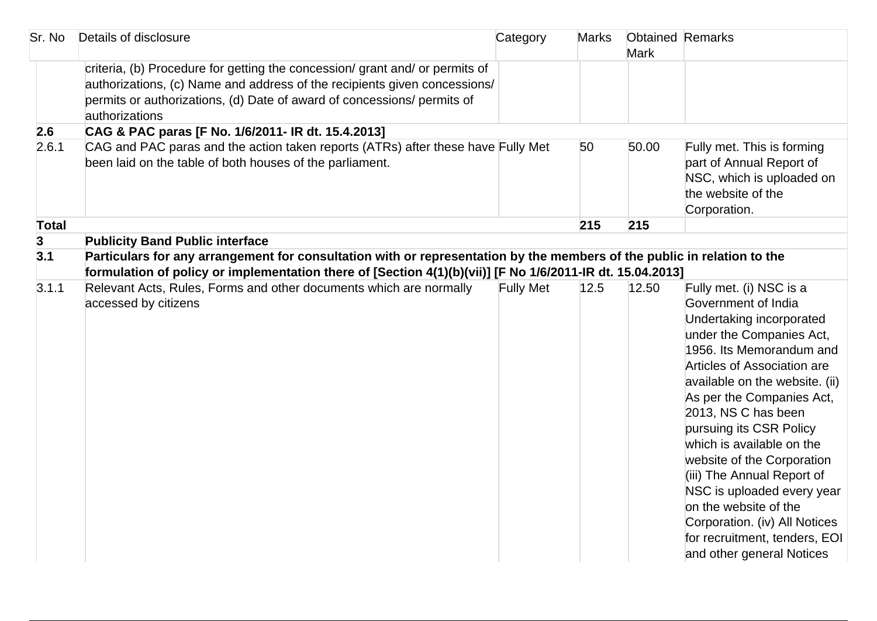| Sr. No       | Details of disclosure                                                                                                                                                                                                                                | Category         | <b>Marks</b> | <b>Obtained Remarks</b><br><b>Mark</b> |                                                                                                                                                                                                                                                                                                                                                                                                                                                                                                                                   |
|--------------|------------------------------------------------------------------------------------------------------------------------------------------------------------------------------------------------------------------------------------------------------|------------------|--------------|----------------------------------------|-----------------------------------------------------------------------------------------------------------------------------------------------------------------------------------------------------------------------------------------------------------------------------------------------------------------------------------------------------------------------------------------------------------------------------------------------------------------------------------------------------------------------------------|
|              | criteria, (b) Procedure for getting the concession/grant and/or permits of<br>authorizations, (c) Name and address of the recipients given concessions/<br>permits or authorizations, (d) Date of award of concessions/ permits of<br>authorizations |                  |              |                                        |                                                                                                                                                                                                                                                                                                                                                                                                                                                                                                                                   |
| 2.6          | CAG & PAC paras [F No. 1/6/2011- IR dt. 15.4.2013]                                                                                                                                                                                                   |                  |              |                                        |                                                                                                                                                                                                                                                                                                                                                                                                                                                                                                                                   |
| 2.6.1        | CAG and PAC paras and the action taken reports (ATRs) after these have Fully Met<br>been laid on the table of both houses of the parliament.                                                                                                         |                  | 50           | 50.00                                  | Fully met. This is forming<br>part of Annual Report of<br>NSC, which is uploaded on<br>the website of the<br>Corporation.                                                                                                                                                                                                                                                                                                                                                                                                         |
| <b>Total</b> |                                                                                                                                                                                                                                                      |                  | 215          | 215                                    |                                                                                                                                                                                                                                                                                                                                                                                                                                                                                                                                   |
| 3            | <b>Publicity Band Public interface</b>                                                                                                                                                                                                               |                  |              |                                        |                                                                                                                                                                                                                                                                                                                                                                                                                                                                                                                                   |
| 3.1          | Particulars for any arrangement for consultation with or representation by the members of the public in relation to the<br>formulation of policy or implementation there of [Section 4(1)(b)(vii)] [F No 1/6/2011-IR dt. 15.04.2013]                 |                  |              |                                        |                                                                                                                                                                                                                                                                                                                                                                                                                                                                                                                                   |
| 3.1.1        | Relevant Acts, Rules, Forms and other documents which are normally<br>accessed by citizens                                                                                                                                                           | <b>Fully Met</b> | 12.5         | 12.50                                  | Fully met. (i) NSC is a<br>Government of India<br>Undertaking incorporated<br>under the Companies Act,<br>1956. Its Memorandum and<br>Articles of Association are<br>available on the website. (ii)<br>As per the Companies Act,<br>2013, NS C has been<br>pursuing its CSR Policy<br>which is available on the<br>website of the Corporation<br>(iii) The Annual Report of<br>NSC is uploaded every year<br>on the website of the<br>Corporation. (iv) All Notices<br>for recruitment, tenders, EOI<br>and other general Notices |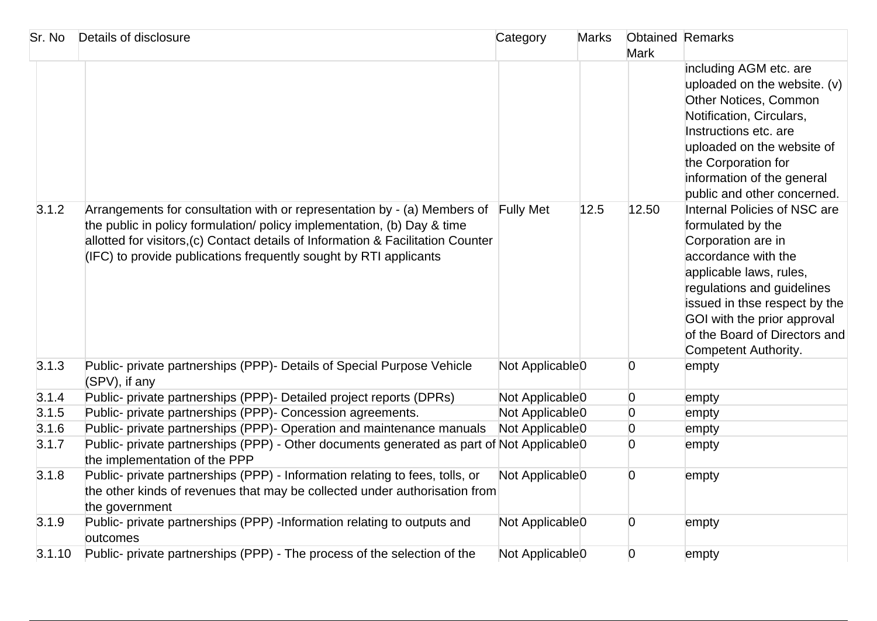| Sr. No | Details of disclosure                                                                                                                                                                                                                                                                                                  | Category                    | <b>Marks</b> | <b>Obtained Remarks</b><br><b>Mark</b> |                                                                                                                                                                                                                                                                                  |
|--------|------------------------------------------------------------------------------------------------------------------------------------------------------------------------------------------------------------------------------------------------------------------------------------------------------------------------|-----------------------------|--------------|----------------------------------------|----------------------------------------------------------------------------------------------------------------------------------------------------------------------------------------------------------------------------------------------------------------------------------|
|        |                                                                                                                                                                                                                                                                                                                        |                             |              |                                        | including AGM etc. are<br>uploaded on the website. (v)<br>Other Notices, Common<br>Notification, Circulars,<br>Instructions etc. are<br>uploaded on the website of<br>the Corporation for<br>information of the general<br>public and other concerned.                           |
| 3.1.2  | Arrangements for consultation with or representation by - (a) Members of Fully Met<br>the public in policy formulation/ policy implementation, (b) Day & time<br>allotted for visitors, (c) Contact details of Information & Facilitation Counter<br>(IFC) to provide publications frequently sought by RTI applicants |                             | 12.5         | 12.50                                  | Internal Policies of NSC are<br>formulated by the<br>Corporation are in<br>accordance with the<br>applicable laws, rules,<br>regulations and guidelines<br>issued in thse respect by the<br>GOI with the prior approval<br>of the Board of Directors and<br>Competent Authority. |
| 3.1.3  | Public- private partnerships (PPP)- Details of Special Purpose Vehicle<br>(SPV), if any                                                                                                                                                                                                                                | Not Applicable <sup>0</sup> |              | $\overline{0}$                         | empty                                                                                                                                                                                                                                                                            |
| 3.1.4  | Public- private partnerships (PPP)- Detailed project reports (DPRs)                                                                                                                                                                                                                                                    | Not Applicable <sub>0</sub> |              | $\overline{0}$                         | empty                                                                                                                                                                                                                                                                            |
| 3.1.5  | Public- private partnerships (PPP)- Concession agreements.                                                                                                                                                                                                                                                             | Not Applicable <sub>0</sub> |              | $\overline{0}$                         | empty                                                                                                                                                                                                                                                                            |
| 3.1.6  | Public- private partnerships (PPP)- Operation and maintenance manuals                                                                                                                                                                                                                                                  | Not Applicable <sub>0</sub> |              | $\overline{0}$                         | empty                                                                                                                                                                                                                                                                            |
| 3.1.7  | Public- private partnerships (PPP) - Other documents generated as part of Not Applicable0<br>the implementation of the PPP                                                                                                                                                                                             |                             |              | $\overline{0}$                         | empty                                                                                                                                                                                                                                                                            |
| 3.1.8  | Public- private partnerships (PPP) - Information relating to fees, tolls, or<br>the other kinds of revenues that may be collected under authorisation from<br>the government                                                                                                                                           | Not Applicable <sub>0</sub> |              | $\overline{0}$                         | empty                                                                                                                                                                                                                                                                            |
| 3.1.9  | Public- private partnerships (PPP) -Information relating to outputs and<br><b>butcomes</b>                                                                                                                                                                                                                             | Not Applicable <sub>0</sub> |              | $\overline{0}$                         | empty                                                                                                                                                                                                                                                                            |
| 3.1.10 | Public- private partnerships (PPP) - The process of the selection of the                                                                                                                                                                                                                                               | Not Applicable <sub>0</sub> |              | $\overline{0}$                         | empty                                                                                                                                                                                                                                                                            |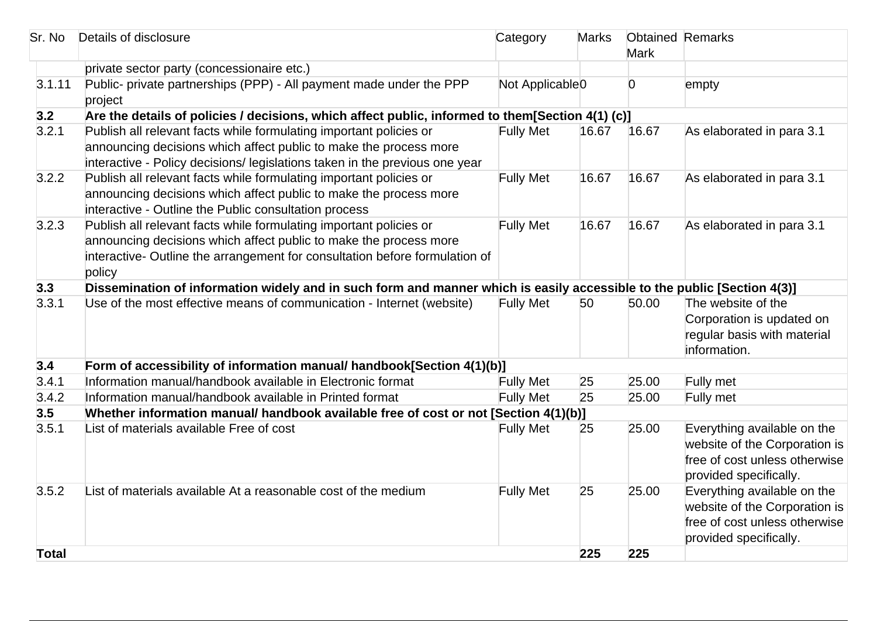| Sr. No       | Details of disclosure                                                                                                                                                                                                            | Category                    | <b>Marks</b> | <b>Obtained Remarks</b><br><b>Mark</b> |                                                                                                                         |
|--------------|----------------------------------------------------------------------------------------------------------------------------------------------------------------------------------------------------------------------------------|-----------------------------|--------------|----------------------------------------|-------------------------------------------------------------------------------------------------------------------------|
|              | private sector party (concessionaire etc.)                                                                                                                                                                                       |                             |              |                                        |                                                                                                                         |
| 3.1.11       | Public- private partnerships (PPP) - All payment made under the PPP<br>project                                                                                                                                                   | Not Applicable <sub>0</sub> |              | $\overline{0}$                         | empty                                                                                                                   |
| 3.2          | Are the details of policies / decisions, which affect public, informed to them[Section 4(1) (c)]                                                                                                                                 |                             |              |                                        |                                                                                                                         |
| 3.2.1        | Publish all relevant facts while formulating important policies or<br>announcing decisions which affect public to make the process more<br>interactive - Policy decisions/ legislations taken in the previous one year           | <b>Fully Met</b>            | 16.67        | 16.67                                  | As elaborated in para 3.1                                                                                               |
| 3.2.2        | Publish all relevant facts while formulating important policies or<br>announcing decisions which affect public to make the process more<br>interactive - Outline the Public consultation process                                 | <b>Fully Met</b>            | 16.67        | 16.67                                  | As elaborated in para 3.1                                                                                               |
| 3.2.3        | Publish all relevant facts while formulating important policies or<br>announcing decisions which affect public to make the process more<br>interactive- Outline the arrangement for consultation before formulation of<br>policy | <b>Fully Met</b>            | 16.67        | 16.67                                  | As elaborated in para 3.1                                                                                               |
| 3.3          | Dissemination of information widely and in such form and manner which is easily accessible to the public [Section 4(3)]                                                                                                          |                             |              |                                        |                                                                                                                         |
| 3.3.1        | Use of the most effective means of communication - Internet (website)                                                                                                                                                            | <b>Fully Met</b>            | 50           | 50.00                                  | The website of the<br>Corporation is updated on<br>regular basis with material<br>information.                          |
| 3.4          | Form of accessibility of information manual/ handbook[Section 4(1)(b)]                                                                                                                                                           |                             |              |                                        |                                                                                                                         |
| 3.4.1        | Information manual/handbook available in Electronic format                                                                                                                                                                       | <b>Fully Met</b>            | 25           | 25.00                                  | Fully met                                                                                                               |
| 3.4.2        | Information manual/handbook available in Printed format                                                                                                                                                                          | <b>Fully Met</b>            | 25           | 25.00                                  | Fully met                                                                                                               |
| 3.5          | Whether information manual/ handbook available free of cost or not [Section 4(1)(b)]                                                                                                                                             |                             |              |                                        |                                                                                                                         |
| 3.5.1        | List of materials available Free of cost                                                                                                                                                                                         | <b>Fully Met</b>            | 25           | 25.00                                  | Everything available on the<br>website of the Corporation is<br>free of cost unless otherwise<br>provided specifically. |
| 3.5.2        | List of materials available At a reasonable cost of the medium                                                                                                                                                                   | <b>Fully Met</b>            | 25           | 25.00                                  | Everything available on the<br>website of the Corporation is<br>free of cost unless otherwise<br>provided specifically. |
| <b>Total</b> |                                                                                                                                                                                                                                  |                             | 225          | 225                                    |                                                                                                                         |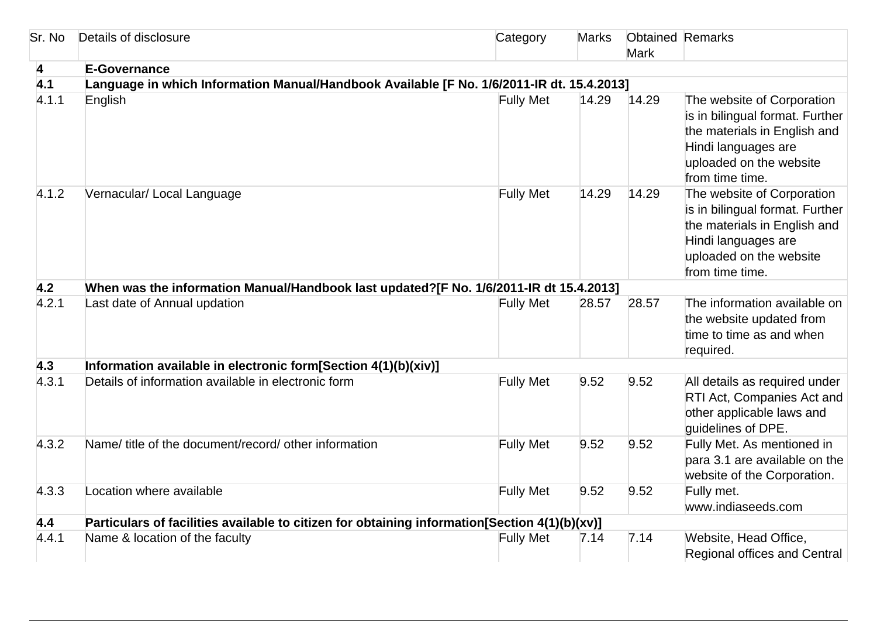| Sr. No                  | Details of disclosure                                                                         | Category         | <b>Marks</b> | <b>Obtained Remarks</b><br><b>Mark</b> |                                                                                                                                                                    |  |  |
|-------------------------|-----------------------------------------------------------------------------------------------|------------------|--------------|----------------------------------------|--------------------------------------------------------------------------------------------------------------------------------------------------------------------|--|--|
| $\overline{\mathbf{4}}$ | <b>E-Governance</b>                                                                           |                  |              |                                        |                                                                                                                                                                    |  |  |
| 4.1                     | Language in which Information Manual/Handbook Available [F No. 1/6/2011-IR dt. 15.4.2013]     |                  |              |                                        |                                                                                                                                                                    |  |  |
| 4.1.1                   | English                                                                                       | <b>Fully Met</b> | 14.29        | 14.29                                  | The website of Corporation<br>is in bilingual format. Further<br>the materials in English and<br>Hindi languages are<br>uploaded on the website<br>from time time. |  |  |
| 4.1.2                   | Vernacular/ Local Language                                                                    | <b>Fully Met</b> | 14.29        | 14.29                                  | The website of Corporation<br>is in bilingual format. Further<br>the materials in English and<br>Hindi languages are<br>uploaded on the website<br>from time time. |  |  |
| 4.2                     | When was the information Manual/Handbook last updated?[F No. 1/6/2011-IR dt 15.4.2013]        |                  |              |                                        |                                                                                                                                                                    |  |  |
| 4.2.1                   | Last date of Annual updation                                                                  | <b>Fully Met</b> | 28.57        | 28.57                                  | The information available on<br>the website updated from<br>time to time as and when<br>required.                                                                  |  |  |
| 4.3                     | Information available in electronic form[Section 4(1)(b)(xiv)]                                |                  |              |                                        |                                                                                                                                                                    |  |  |
| 4.3.1                   | Details of information available in electronic form                                           | <b>Fully Met</b> | 9.52         | 9.52                                   | All details as required under<br>RTI Act, Companies Act and<br>other applicable laws and<br>guidelines of DPE.                                                     |  |  |
| 4.3.2                   | Name/ title of the document/record/ other information                                         | <b>Fully Met</b> | 9.52         | 9.52                                   | Fully Met. As mentioned in<br>para 3.1 are available on the<br>website of the Corporation.                                                                         |  |  |
| 4.3.3                   | Location where available                                                                      | <b>Fully Met</b> | 9.52         | 9.52                                   | Fully met.<br>www.indiaseeds.com                                                                                                                                   |  |  |
| 4.4                     | Particulars of facilities available to citizen for obtaining information[Section 4(1)(b)(xv)] |                  |              |                                        |                                                                                                                                                                    |  |  |
| 4.4.1                   | Name & location of the faculty                                                                | <b>Fully Met</b> | 7.14         | 7.14                                   | Website, Head Office,<br>Regional offices and Central                                                                                                              |  |  |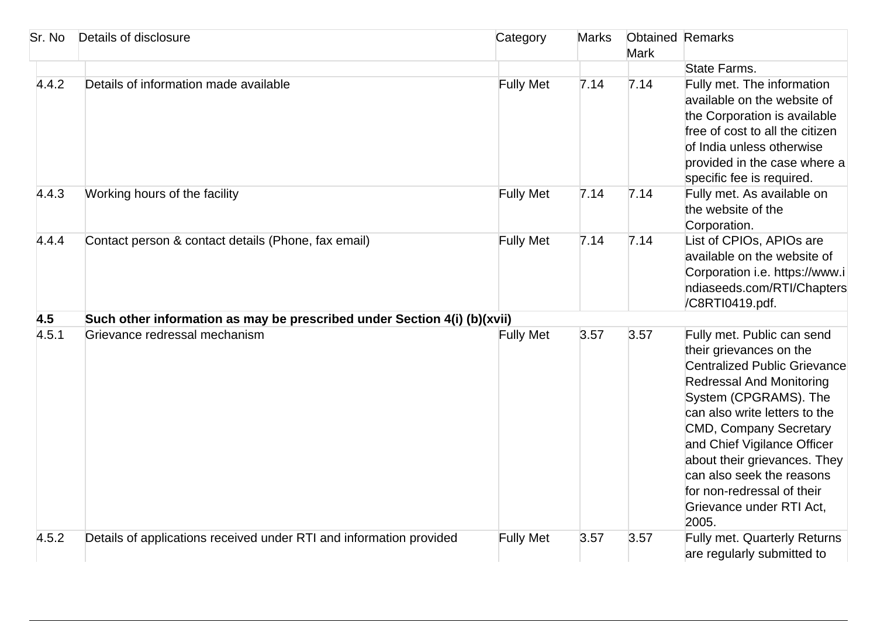| Sr. No | Details of disclosure                                                    | Category         | <b>Marks</b> | <b>Obtained Remarks</b><br><b>Mark</b> |                                                                                                                                                                                                                                                                                                                                                                                           |
|--------|--------------------------------------------------------------------------|------------------|--------------|----------------------------------------|-------------------------------------------------------------------------------------------------------------------------------------------------------------------------------------------------------------------------------------------------------------------------------------------------------------------------------------------------------------------------------------------|
| 4.4.2  | Details of information made available                                    | <b>Fully Met</b> | 7.14         | 7.14                                   | State Farms.<br>Fully met. The information                                                                                                                                                                                                                                                                                                                                                |
|        |                                                                          |                  |              |                                        | available on the website of<br>the Corporation is available<br>free of cost to all the citizen<br>of India unless otherwise<br>provided in the case where a<br>specific fee is required.                                                                                                                                                                                                  |
| 4.4.3  | Working hours of the facility                                            | <b>Fully Met</b> | 7.14         | 7.14                                   | Fully met. As available on<br>the website of the<br>Corporation.                                                                                                                                                                                                                                                                                                                          |
| 4.4.4  | Contact person & contact details (Phone, fax email)                      | <b>Fully Met</b> | 7.14         | 7.14                                   | List of CPIOs, APIOs are<br>available on the website of<br>Corporation i.e. https://www.i<br>ndiaseeds.com/RTI/Chapters<br>/C8RTI0419.pdf.                                                                                                                                                                                                                                                |
| 4.5    | Such other information as may be prescribed under Section 4(i) (b)(xvii) |                  |              |                                        |                                                                                                                                                                                                                                                                                                                                                                                           |
| 4.5.1  | Grievance redressal mechanism                                            | <b>Fully Met</b> | 3.57         | 3.57                                   | Fully met. Public can send<br>their grievances on the<br><b>Centralized Public Grievance</b><br><b>Redressal And Monitoring</b><br>System (CPGRAMS). The<br>can also write letters to the<br><b>CMD, Company Secretary</b><br>and Chief Vigilance Officer<br>about their grievances. They<br>can also seek the reasons<br>for non-redressal of their<br>Grievance under RTI Act,<br>2005. |
| 4.5.2  | Details of applications received under RTI and information provided      | <b>Fully Met</b> | 3.57         | 3.57                                   | Fully met. Quarterly Returns<br>are regularly submitted to                                                                                                                                                                                                                                                                                                                                |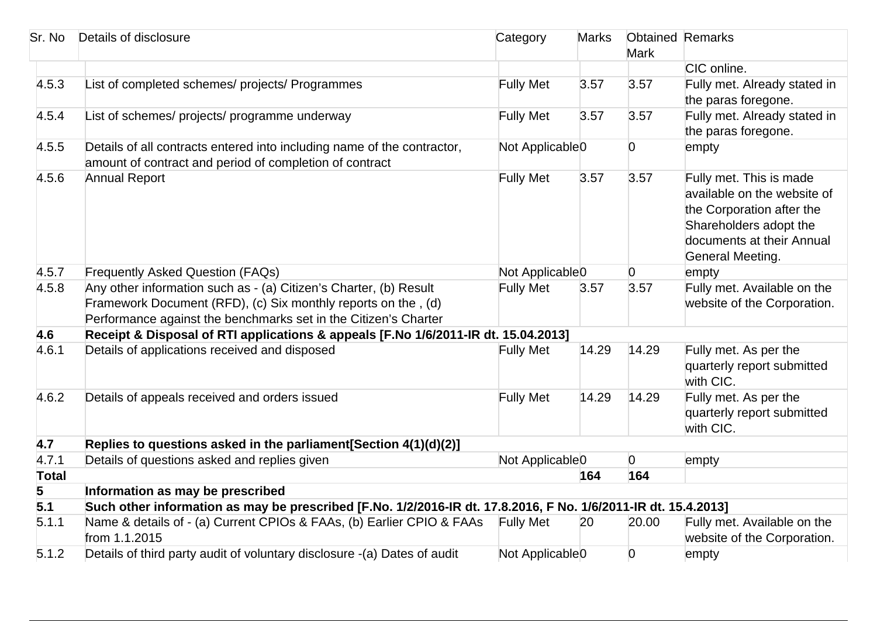| Sr. No       | Details of disclosure                                                                                                                                                                                 | Category                                      | <b>Marks</b> | <b>Obtained Remarks</b><br><b>Mark</b> |                                                                                                                                                                |
|--------------|-------------------------------------------------------------------------------------------------------------------------------------------------------------------------------------------------------|-----------------------------------------------|--------------|----------------------------------------|----------------------------------------------------------------------------------------------------------------------------------------------------------------|
|              |                                                                                                                                                                                                       |                                               |              |                                        | CIC online.                                                                                                                                                    |
| 4.5.3        | List of completed schemes/ projects/ Programmes                                                                                                                                                       | <b>Fully Met</b>                              | 3.57         | 3.57                                   | Fully met. Already stated in<br>the paras foregone.                                                                                                            |
| 4.5.4        | List of schemes/ projects/ programme underway                                                                                                                                                         | <b>Fully Met</b>                              | 3.57         | 3.57                                   | Fully met. Already stated in<br>the paras foregone.                                                                                                            |
| 4.5.5        | Details of all contracts entered into including name of the contractor,<br>amount of contract and period of completion of contract                                                                    | Not Applicable <sub>0</sub>                   |              | $\overline{0}$                         | empty                                                                                                                                                          |
| 4.5.6        | <b>Annual Report</b>                                                                                                                                                                                  | <b>Fully Met</b>                              | 3.57         | 3.57                                   | Fully met. This is made<br>available on the website of<br>the Corporation after the<br>Shareholders adopt the<br>documents at their Annual<br>General Meeting. |
| 4.5.7        | <b>Frequently Asked Question (FAQs)</b>                                                                                                                                                               | Not Applicable <sub>0</sub><br>$\overline{0}$ |              |                                        | empty                                                                                                                                                          |
| 4.5.8        | Any other information such as - (a) Citizen's Charter, (b) Result<br>Framework Document (RFD), (c) Six monthly reports on the, (d)<br>Performance against the benchmarks set in the Citizen's Charter | <b>Fully Met</b>                              | 3.57         | 3.57                                   | Fully met. Available on the<br>website of the Corporation.                                                                                                     |
| 4.6          | Receipt & Disposal of RTI applications & appeals [F.No 1/6/2011-IR dt. 15.04.2013]                                                                                                                    |                                               |              |                                        |                                                                                                                                                                |
| 4.6.1        | Details of applications received and disposed                                                                                                                                                         | <b>Fully Met</b>                              | 14.29        | 14.29                                  | Fully met. As per the<br>quarterly report submitted<br>with CIC.                                                                                               |
| 4.6.2        | Details of appeals received and orders issued                                                                                                                                                         | <b>Fully Met</b>                              | 14.29        | 14.29                                  | Fully met. As per the<br>quarterly report submitted<br>with CIC.                                                                                               |
| 4.7          | Replies to questions asked in the parliament [Section 4(1)(d)(2)]                                                                                                                                     |                                               |              |                                        |                                                                                                                                                                |
| 4.7.1        | Details of questions asked and replies given                                                                                                                                                          | Not Applicable <sub>0</sub><br>$\overline{0}$ |              |                                        | empty                                                                                                                                                          |
| <b>Total</b> |                                                                                                                                                                                                       |                                               | 164          | 164                                    |                                                                                                                                                                |
| 5            | Information as may be prescribed                                                                                                                                                                      |                                               |              |                                        |                                                                                                                                                                |
| 5.1          | Such other information as may be prescribed [F.No. 1/2/2016-IR dt. 17.8.2016, F No. 1/6/2011-IR dt. 15.4.2013]                                                                                        |                                               |              |                                        |                                                                                                                                                                |
| 5.1.1        | Name & details of - (a) Current CPIOs & FAAs, (b) Earlier CPIO & FAAs<br>from 1.1.2015                                                                                                                | <b>Fully Met</b>                              | 20           | 20.00                                  | Fully met. Available on the<br>website of the Corporation.                                                                                                     |
| 5.1.2        | Details of third party audit of voluntary disclosure -(a) Dates of audit                                                                                                                              | Not Applicable <sub>0</sub>                   |              | 0                                      | empty                                                                                                                                                          |